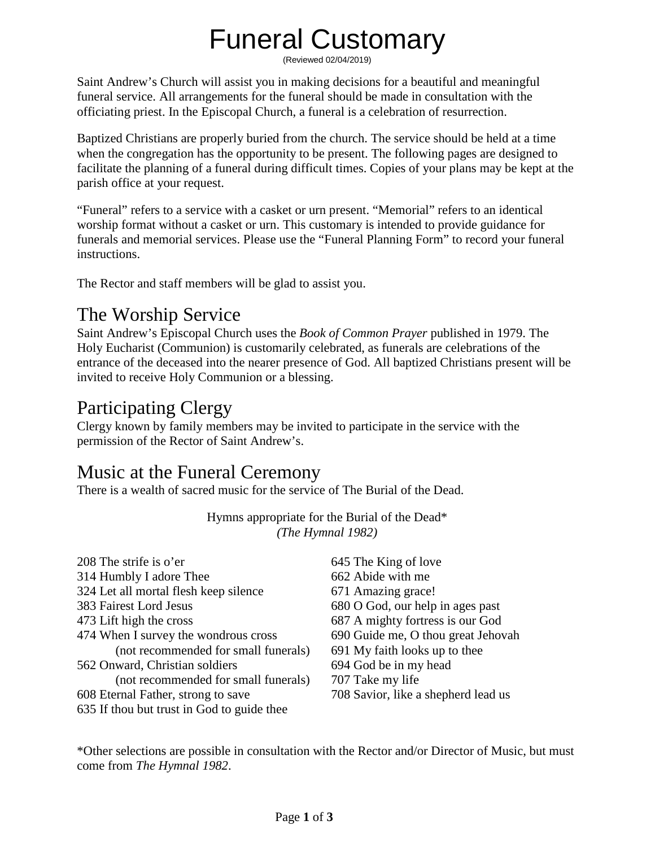# Funeral Customary

(Reviewed 02/04/2019)

Saint Andrew's Church will assist you in making decisions for a beautiful and meaningful funeral service. All arrangements for the funeral should be made in consultation with the officiating priest. In the Episcopal Church, a funeral is a celebration of resurrection.

Baptized Christians are properly buried from the church. The service should be held at a time when the congregation has the opportunity to be present. The following pages are designed to facilitate the planning of a funeral during difficult times. Copies of your plans may be kept at the parish office at your request.

"Funeral" refers to a service with a casket or urn present. "Memorial" refers to an identical worship format without a casket or urn. This customary is intended to provide guidance for funerals and memorial services. Please use the "Funeral Planning Form" to record your funeral instructions.

The Rector and staff members will be glad to assist you.

### The Worship Service

Saint Andrew's Episcopal Church uses the *Book of Common Prayer* published in 1979. The Holy Eucharist (Communion) is customarily celebrated, as funerals are celebrations of the entrance of the deceased into the nearer presence of God. All baptized Christians present will be invited to receive Holy Communion or a blessing.

### Participating Clergy

Clergy known by family members may be invited to participate in the service with the permission of the Rector of Saint Andrew's.

### Music at the Funeral Ceremony

There is a wealth of sacred music for the service of The Burial of the Dead.

| 208 The strife is o'er                     | 645 The King of love                |
|--------------------------------------------|-------------------------------------|
| 314 Humbly I adore Thee                    | 662 Abide with me                   |
| 324 Let all mortal flesh keep silence      | 671 Amazing grace!                  |
| 383 Fairest Lord Jesus                     | 680 O God, our help in ages past    |
| 473 Lift high the cross                    | 687 A mighty fortress is our God    |
| 474 When I survey the wondrous cross       | 690 Guide me, O thou great Jehovah  |
| (not recommended for small funerals)       | 691 My faith looks up to thee       |
| 562 Onward, Christian soldiers             | 694 God be in my head               |
| (not recommended for small funerals)       | 707 Take my life                    |
| 608 Eternal Father, strong to save         | 708 Savior, like a shepherd lead us |
| 635 If thou but trust in God to guide thee |                                     |

Hymns appropriate for the Burial of the Dead\* *(The Hymnal 1982)*

\*Other selections are possible in consultation with the Rector and/or Director of Music, but must come from *The Hymnal 1982*.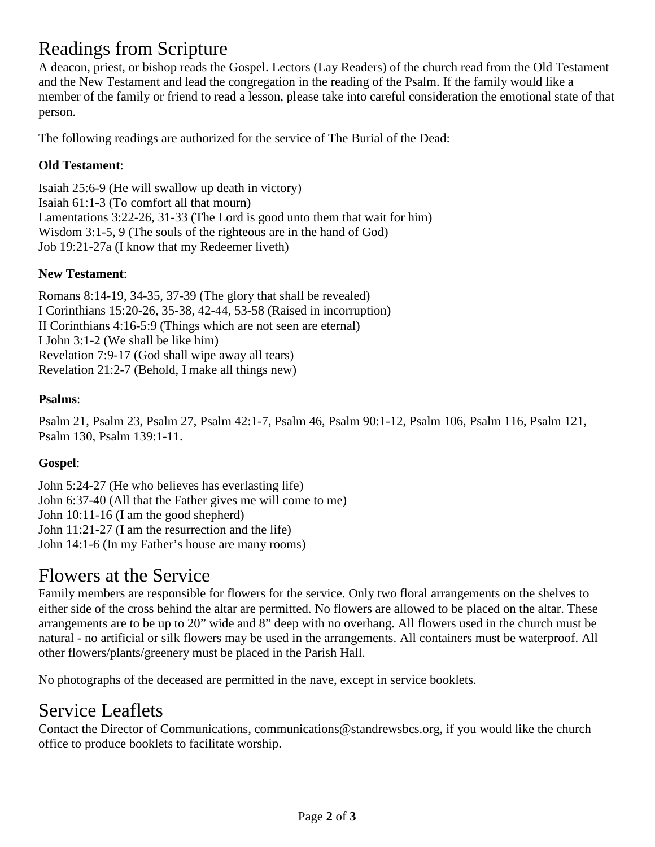### Readings from Scripture

A deacon, priest, or bishop reads the Gospel. Lectors (Lay Readers) of the church read from the Old Testament and the New Testament and lead the congregation in the reading of the Psalm. If the family would like a member of the family or friend to read a lesson, please take into careful consideration the emotional state of that person.

The following readings are authorized for the service of The Burial of the Dead:

#### **Old Testament**:

Isaiah 25:6-9 (He will swallow up death in victory) Isaiah 61:1-3 (To comfort all that mourn) Lamentations 3:22-26, 31-33 (The Lord is good unto them that wait for him) Wisdom 3:1-5, 9 (The souls of the righteous are in the hand of God) Job 19:21-27a (I know that my Redeemer liveth)

#### **New Testament**:

Romans 8:14-19, 34-35, 37-39 (The glory that shall be revealed) I Corinthians 15:20-26, 35-38, 42-44, 53-58 (Raised in incorruption) II Corinthians 4:16-5:9 (Things which are not seen are eternal) I John 3:1-2 (We shall be like him) Revelation 7:9-17 (God shall wipe away all tears) Revelation 21:2-7 (Behold, I make all things new)

#### **Psalms**:

Psalm 21, Psalm 23, Psalm 27, Psalm 42:1-7, Psalm 46, Psalm 90:1-12, Psalm 106, Psalm 116, Psalm 121, Psalm 130, Psalm 139:1-11.

#### **Gospel**:

John 5:24-27 (He who believes has everlasting life) John 6:37-40 (All that the Father gives me will come to me) John 10:11-16 (I am the good shepherd) John 11:21-27 (I am the resurrection and the life) John 14:1-6 (In my Father's house are many rooms)

#### Flowers at the Service

Family members are responsible for flowers for the service. Only two floral arrangements on the shelves to either side of the cross behind the altar are permitted. No flowers are allowed to be placed on the altar. These arrangements are to be up to 20" wide and 8" deep with no overhang. All flowers used in the church must be natural - no artificial or silk flowers may be used in the arrangements. All containers must be waterproof. All other flowers/plants/greenery must be placed in the Parish Hall.

No photographs of the deceased are permitted in the nave, except in service booklets.

### Service Leaflets

Contact the Director of Communications, [communications@standrewsbcs.org,](mailto:communications@standrewsbcs.org) if you would like the church office to produce booklets to facilitate worship.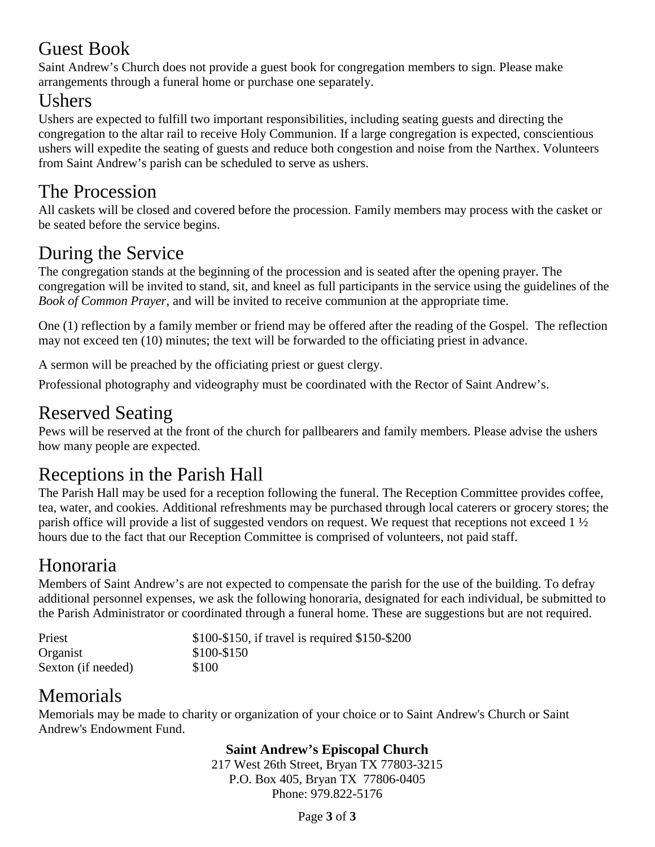### Guest Book

Saint Andrew's Church does not provide a guest book for congregation members to sign. Please make arrangements through a funeral home or purchase one separately.

### **Ushers**

Ushers are expected to fulfill two important responsibilities, including seating guests and directing the congregation to the altar rail to receive Holy Communion. If a large congregation is expected, conscientious ushers will expedite the seating of guests and reduce both congestion and noise from the Narthex. Volunteers from Saint Andrew's parish can be scheduled to serve as ushers.

### The Procession

All caskets will be closed and covered before the procession. Family members may process with the casket or be seated before the service begins.

## During the Service

The congregation stands at the beginning of the procession and is seated after the opening prayer. The congregation will be invited to stand, sit, and kneel as full participants in the service using the guidelines of the *Book of Common Prayer*, and will be invited to receive communion at the appropriate time.

One (1) reflection by a family member or friend may be offered after the reading of the Gospel. The reflection may not exceed ten (10) minutes; the text will be forwarded to the officiating priest in advance.

A sermon will be preached by the officiating priest or guest clergy.

Professional photography and videography must be coordinated with the Rector of Saint Andrew's.

### Reserved Seating

Pews will be reserved at the front of the church for pallbearers and family members. Please advise the ushers how many people are expected.

### Receptions in the Parish Hall

The Parish Hall may be used for a reception following the funeral. The Reception Committee provides coffee, tea, water, and cookies. Additional refreshments may be purchased through local caterers or grocery stores; the parish office will provide a list of suggested vendors on request. We request that receptions not exceed 1 ½ hours due to the fact that our Reception Committee is comprised of volunteers, not paid staff.

## Honoraria

Members of Saint Andrew's are not expected to compensate the parish for the use of the building. To defray additional personnel expenses, we ask the following honoraria, designated for each individual, be submitted to the Parish Administrator or coordinated through a funeral home. These are suggestions but are not required.

| Priest             | \$100-\$150, if travel is required \$150-\$200 |
|--------------------|------------------------------------------------|
| Organist           | \$100-\$150                                    |
| Sexton (if needed) | \$100                                          |

## Memorials

Memorials may be made to charity or organization of your choice or to Saint Andrew's Church or Saint Andrew's Endowment Fund.

#### **Saint Andrew's Episcopal Church**

217 West 26th Street, Bryan TX 77803-3215 P.O. Box 405, Bryan TX 77806-0405 Phone: 979.822-5176

Page **3** of **3**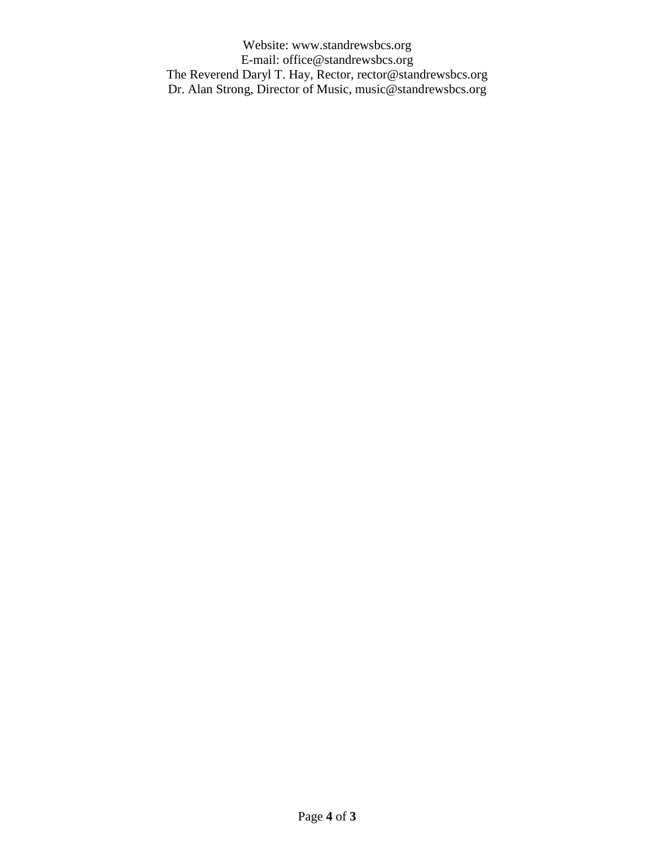Website: www.standrewsbcs.org E-mail: [office@standrewsbcs.org](mailto:office@standrewsbcs.org) The Reverend Daryl T. Hay, Rector, [rector@standrewsbcs.org](mailto:rector@standrewsbcs.org) Dr. Alan Strong, Director of Music, [music@standrewsbcs.org](mailto:music@standrewsbcs.org)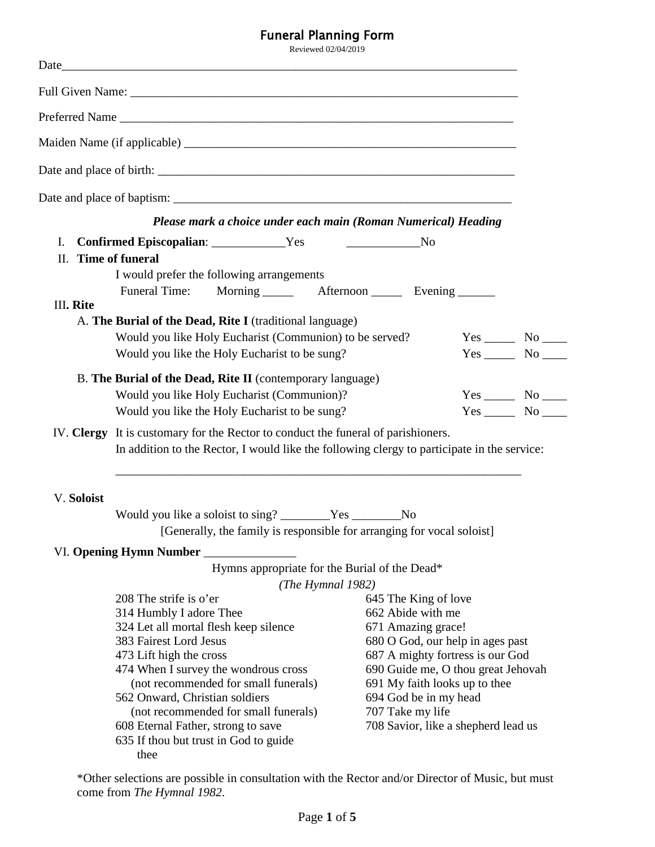Funeral Planning Form Reviewed 02/04/2019 Date\_\_\_\_\_\_\_\_\_\_\_\_\_\_\_\_\_\_\_\_\_\_\_\_\_\_\_\_\_\_\_\_\_\_\_\_\_\_\_\_\_\_\_\_\_\_\_\_\_\_\_\_\_\_\_\_\_\_\_\_\_\_\_\_\_\_\_\_\_\_\_\_\_\_ Full Given Name: \_\_\_\_\_\_\_\_\_\_\_\_\_\_\_\_\_\_\_\_\_\_\_\_\_\_\_\_\_\_\_\_\_\_\_\_\_\_\_\_\_\_\_\_\_\_\_\_\_\_\_\_\_\_\_\_\_\_\_\_\_\_\_ Preferred Name Maiden Name (if applicable) \_\_\_\_\_\_\_\_\_\_\_\_\_\_\_\_\_\_\_\_\_\_\_\_\_\_\_\_\_\_\_\_\_\_\_\_\_\_\_\_\_\_\_\_\_\_\_\_\_\_\_\_\_\_ Date and place of birth: \_\_\_\_\_\_\_\_\_\_\_\_\_\_\_\_\_\_\_\_\_\_\_\_\_\_\_\_\_\_\_\_\_\_\_\_\_\_\_\_\_\_\_\_\_\_\_\_\_\_\_\_\_\_\_\_\_\_ Date and place of baptism: \_\_\_\_\_\_\_\_\_\_\_\_\_\_\_\_\_\_\_\_\_\_\_\_\_\_\_\_\_\_\_\_\_\_\_\_\_\_\_\_\_\_\_\_\_\_\_\_\_\_\_\_\_\_\_ *Please mark a choice under each main (Roman Numerical) Heading* I. **Confirmed Episcopalian**: \_\_\_\_\_\_\_\_\_\_\_\_Yes \_\_\_\_\_\_\_\_\_\_\_\_No II. **Time of funeral** I would prefer the following arrangements Funeral Time: Morning \_\_\_\_\_\_ Afternoon \_\_\_\_\_ Evening \_\_\_\_\_\_ III**. Rite** A. **The Burial of the Dead, Rite I** (traditional language) Would you like Holy Eucharist (Communion) to be served? Yes \_\_\_\_\_\_ No \_\_\_\_\_ Would you like the Holy Eucharist to be sung? Yes \_\_\_\_\_\_ No \_\_\_\_\_ B. **The Burial of the Dead, Rite II** (contemporary language) Would you like Holy Eucharist (Communion)? Yes \_\_\_\_\_ No \_\_\_\_ Would you like the Holy Eucharist to be sung? Yes \_\_\_\_\_\_ No \_\_\_\_\_ IV. **Clergy** It is customary for the Rector to conduct the funeral of parishioners. In addition to the Rector, I would like the following clergy to participate in the service: \_\_\_\_\_\_\_\_\_\_\_\_\_\_\_\_\_\_\_\_\_\_\_\_\_\_\_\_\_\_\_\_\_\_\_\_\_\_\_\_\_\_\_\_\_\_\_\_\_\_\_\_\_\_\_\_\_\_\_\_\_\_\_\_\_\_ V. **Soloist** Would you like a soloist to sing? \_\_\_\_\_\_\_\_Yes \_\_\_\_\_\_\_\_No [Generally, the family is responsible for arranging for vocal soloist] VI. **Opening Hymn Number** \_\_\_\_\_\_\_\_\_\_\_\_\_\_\_ Hymns appropriate for the Burial of the Dead\* *(The Hymnal 1982)* 208 The strife is o'er 314 Humbly I adore Thee 324 Let all mortal flesh keep silence 383 Fairest Lord Jesus 473 Lift high the cross 474 When I survey the wondrous cross (not recommended for small funerals) 645 The King of love 662 Abide with me 671 Amazing grace! 680 O God, our help in ages past 687 A mighty fortress is our God 690 Guide me, O thou great Jehovah 691 My faith looks up to thee

- 562 Onward, Christian soldiers
- (not recommended for small funerals)
- 608 Eternal Father, strong to save
- 635 If thou but trust in God to guide thee
- 694 God be in my head 707 Take my life
- 708 Savior, like a shepherd lead us

\*Other selections are possible in consultation with the Rector and/or Director of Music, but must come from *The Hymnal 1982*.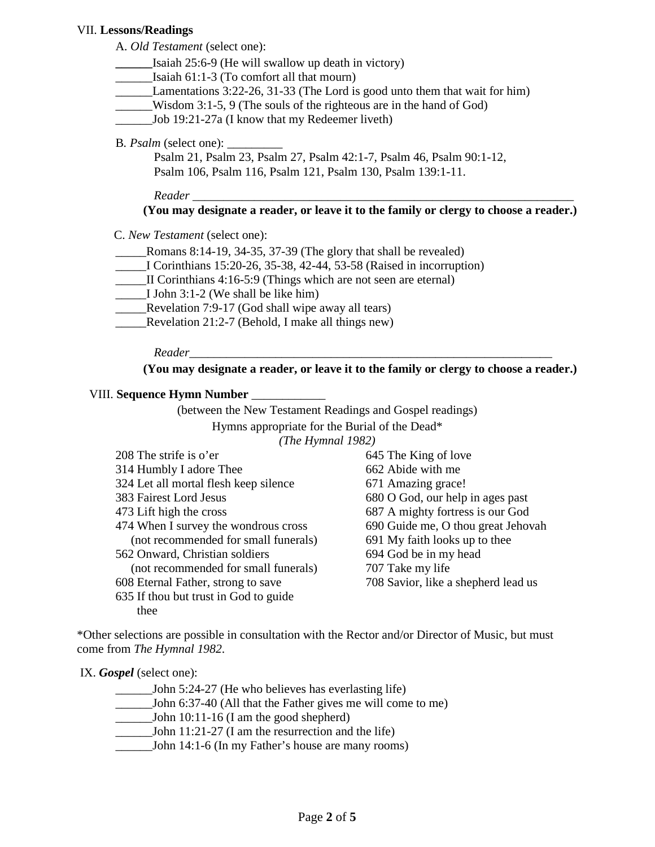#### VII. **Lessons/Readings**

A. *Old Testament* (select one):

- **\_\_\_\_\_\_**Isaiah 25:6-9 (He will swallow up death in victory)
- Isaiah  $61:1-3$  (To comfort all that mourn)
- \_\_\_\_\_\_Lamentations 3:22-26, 31-33 (The Lord is good unto them that wait for him)
- \_\_\_\_\_\_Wisdom 3:1-5, 9 (The souls of the righteous are in the hand of God)
- \_\_\_\_\_\_Job 19:21-27a (I know that my Redeemer liveth)
- B. *Psalm* (select one):

Psalm 21, Psalm 23, Psalm 27, Psalm 42:1-7, Psalm 46, Psalm 90:1-12, Psalm 106, Psalm 116, Psalm 121, Psalm 130, Psalm 139:1-11.

*Reader* \_\_\_\_\_\_\_\_\_\_\_\_\_\_\_\_\_\_\_\_\_\_\_\_\_\_\_\_\_\_\_\_\_\_\_\_\_\_\_\_\_\_\_\_\_\_\_\_\_\_\_\_\_\_\_\_\_\_\_\_\_\_

#### **(You may designate a reader, or leave it to the family or clergy to choose a reader.)**

C. *New Testament* (select one):

- Romans 8:14-19, 34-35, 37-39 (The glory that shall be revealed)
- \_\_\_\_\_I Corinthians 15:20-26, 35-38, 42-44, 53-58 (Raised in incorruption)
- \_\_\_\_\_II Corinthians 4:16-5:9 (Things which are not seen are eternal)
- \_\_\_\_\_I John 3:1-2 (We shall be like him)
- \_\_\_\_\_Revelation 7:9-17 (God shall wipe away all tears)
- \_\_\_\_\_Revelation 21:2-7 (Behold, I make all things new)

 *Reader*\_\_\_\_\_\_\_\_\_\_\_\_\_\_\_\_\_\_\_\_\_\_\_\_\_\_\_\_\_\_\_\_\_\_\_\_\_\_\_\_\_\_\_\_\_\_\_\_\_\_\_\_\_\_\_\_\_\_\_

**(You may designate a reader, or leave it to the family or clergy to choose a reader.)**

#### VIII. **Sequence Hymn Number** \_\_\_\_\_\_\_\_\_\_\_\_

(between the New Testament Readings and Gospel readings) Hymns appropriate for the Burial of the Dead\* *(The Hymnal 1982)*  $208 \text{ m}$  strike is  $\sqrt{2}$ 

| 208 The strife is o'er                | 645 The King of love                |
|---------------------------------------|-------------------------------------|
| 314 Humbly I adore Thee               | 662 Abide with me                   |
| 324 Let all mortal flesh keep silence | 671 Amazing grace!                  |
| 383 Fairest Lord Jesus                | 680 O God, our help in ages past    |
| 473 Lift high the cross               | 687 A mighty fortress is our God    |
| 474 When I survey the wondrous cross  | 690 Guide me, O thou great Jehovah  |
| (not recommended for small funerals)  | 691 My faith looks up to thee       |
| 562 Onward, Christian soldiers        | 694 God be in my head               |
| (not recommended for small funerals)  | 707 Take my life                    |
| 608 Eternal Father, strong to save    | 708 Savior, like a shepherd lead us |
| 635 If thou but trust in God to guide |                                     |

\*Other selections are possible in consultation with the Rector and/or Director of Music, but must come from *The Hymnal 1982*.

IX. *Gospel* (select one):

thee

- John 5:24-27 (He who believes has everlasting life)
- \_\_\_\_\_\_John 6:37-40 (All that the Father gives me will come to me)
- \_\_\_\_\_\_John 10:11-16 (I am the good shepherd)
- \_\_\_\_\_\_John 11:21-27 (I am the resurrection and the life)
- \_\_\_\_\_\_John 14:1-6 (In my Father's house are many rooms)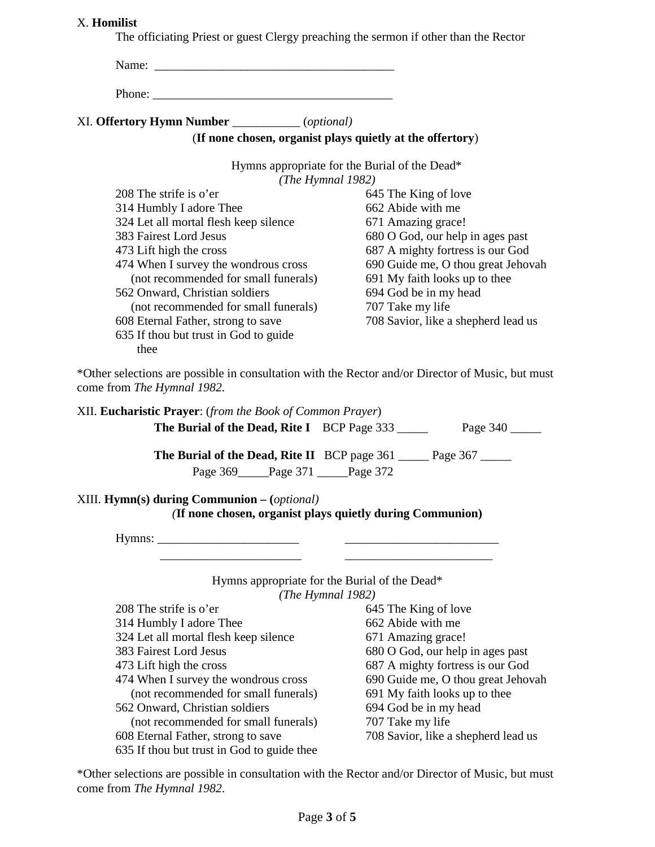#### X. **Homilist**

The officiating Priest or guest Clergy preaching the sermon if other than the Rector

| Phone:                                           |                                                           |
|--------------------------------------------------|-----------------------------------------------------------|
| XI. Offertory Hymn Number ____________(optional) |                                                           |
|                                                  | (If none chosen, organist plays quietly at the offertory) |
|                                                  | Hymns appropriate for the Burial of the Dead*             |
|                                                  | (The Hymnal $1982$ )                                      |
| 208 The strife is o'er                           | 645 The King of love                                      |
| 314 Humbly I adore Thee                          | 662 Abide with me                                         |
| 324 Let all mortal flesh keep silence            | 671 Amazing grace!                                        |
| 383 Fairest Lord Jesus                           | 680 O God, our help in ages past                          |
| 473 Lift high the cross                          | 687 A mighty fortress is our God                          |
| 474 When I survey the wondrous cross             | 690 Guide me, O thou great Jehovah                        |
| (not recommended for small funerals)             | 691 My faith looks up to thee                             |
| 562 Onward, Christian soldiers                   | 694 God be in my head                                     |
| (not recommended for small funerals)             | 707 Take my life                                          |
| 608 Eternal Father, strong to save               | 708 Savior, like a shepherd lead us                       |
| 635 If thou but trust in God to guide            |                                                           |
| thee                                             |                                                           |

\*Other selections are possible in consultation with the Rector and/or Director of Music, but must come from *The Hymnal 1982*.

| XII. Eucharistic Prayer: (from the Book of Common Prayer)                                                          |                                                                          |
|--------------------------------------------------------------------------------------------------------------------|--------------------------------------------------------------------------|
| <b>The Burial of the Dead, Rite I</b> BCP Page 333                                                                 | Page 340                                                                 |
|                                                                                                                    | <b>The Burial of the Dead, Rite II</b> BCP page 361 _____ Page 367 _____ |
| Page 369 Page 371 Page 372                                                                                         |                                                                          |
| XIII. $Hymn(s)$ during Communion $-(\text{optional})$<br>(If none chosen, organist plays quietly during Communion) |                                                                          |
|                                                                                                                    |                                                                          |
| Hymns appropriate for the Burial of the Dead*<br>(The Hymnal 1982)                                                 |                                                                          |
| 208 The strife is o'er                                                                                             | 645 The King of love                                                     |
| 314 Humbly I adore Thee                                                                                            | 662 Abide with me                                                        |
| 324 Let all mortal flesh keep silence                                                                              | 671 Amazing grace!                                                       |
| 383 Fairest Lord Jesus                                                                                             | 680 O God, our help in ages past                                         |
| 473 Lift high the cross                                                                                            | 687 A mighty fortress is our God                                         |
| 474 When I survey the wondrous cross                                                                               | 690 Guide me, O thou great Jehovah                                       |
| (not recommended for small funerals)                                                                               | 691 My faith looks up to thee                                            |
| 562 Onward, Christian soldiers                                                                                     | 694 God be in my head                                                    |
| (not recommended for small funerals)                                                                               | 707 Take my life                                                         |
| 608 Eternal Father, strong to save                                                                                 | 708 Savior, like a shepherd lead us                                      |
| 635 If thou but trust in God to guide thee                                                                         |                                                                          |

\*Other selections are possible in consultation with the Rector and/or Director of Music, but must come from *The Hymnal 1982*.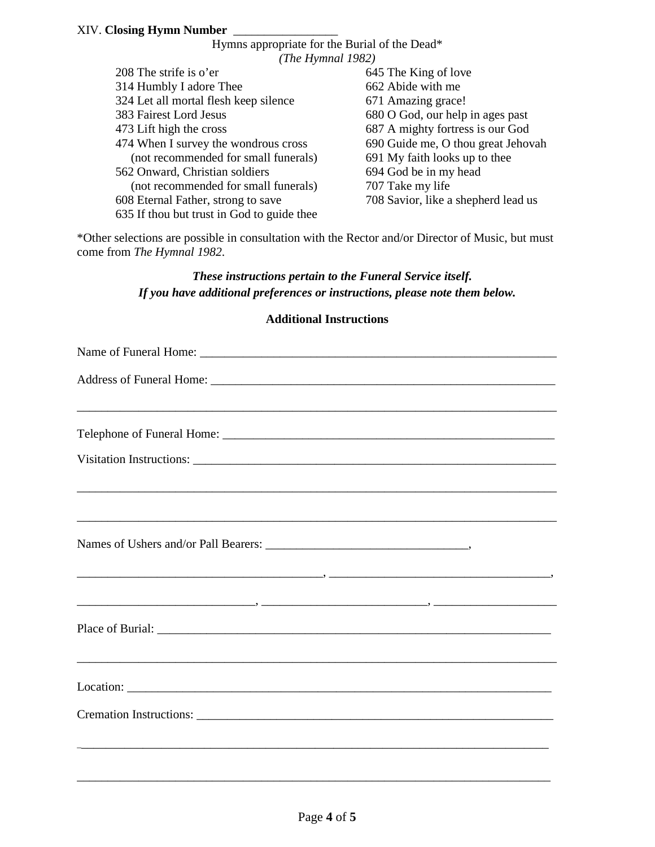|                      | Hymns appropriate for the Burial of the Dead* |                                     |  |
|----------------------|-----------------------------------------------|-------------------------------------|--|
| (The Hymnal $1982$ ) |                                               |                                     |  |
|                      | $208$ The strife is o'er                      | 645 The King of love                |  |
|                      | 314 Humbly I adore Thee                       | 662 Abide with me                   |  |
|                      | 324 Let all mortal flesh keep silence         | 671 Amazing grace!                  |  |
|                      | 383 Fairest Lord Jesus                        | 680 O God, our help in ages past    |  |
|                      | 473 Lift high the cross                       | 687 A mighty fortress is our God    |  |
|                      | 474 When I survey the wondrous cross          | 690 Guide me, O thou great Jehovah  |  |
|                      | (not recommended for small funerals)          | 691 My faith looks up to thee       |  |
|                      | 562 Onward, Christian soldiers                | 694 God be in my head               |  |
|                      | (not recommended for small funerals)          | 707 Take my life                    |  |
|                      | 608 Eternal Father, strong to save            | 708 Savior, like a shepherd lead us |  |
|                      | 635 If thou but trust in God to guide thee    |                                     |  |
|                      |                                               |                                     |  |

\*Other selections are possible in consultation with the Rector and/or Director of Music, but must come from *The Hymnal 1982*.

#### *These instructions pertain to the Funeral Service itself. If you have additional preferences or instructions, please note them below.*

#### **Additional Instructions**

| ,我们也不能在这里的人,我们也不能在这里的人,我们也不能在这里的人,我们也不能在这里的人,我们也不能在这里的人,我们也不能在这里的人,我们也不能在这里的人,我们也 |
|-----------------------------------------------------------------------------------|
|                                                                                   |
|                                                                                   |
|                                                                                   |
|                                                                                   |
|                                                                                   |
|                                                                                   |
|                                                                                   |
|                                                                                   |
|                                                                                   |
|                                                                                   |

\_\_\_\_\_\_\_\_\_\_\_\_\_\_\_\_\_\_\_\_\_\_\_\_\_\_\_\_\_\_\_\_\_\_\_\_\_\_\_\_\_\_\_\_\_\_\_\_\_\_\_\_\_\_\_\_\_\_\_\_\_\_\_\_\_\_\_\_\_\_\_\_\_\_\_\_\_